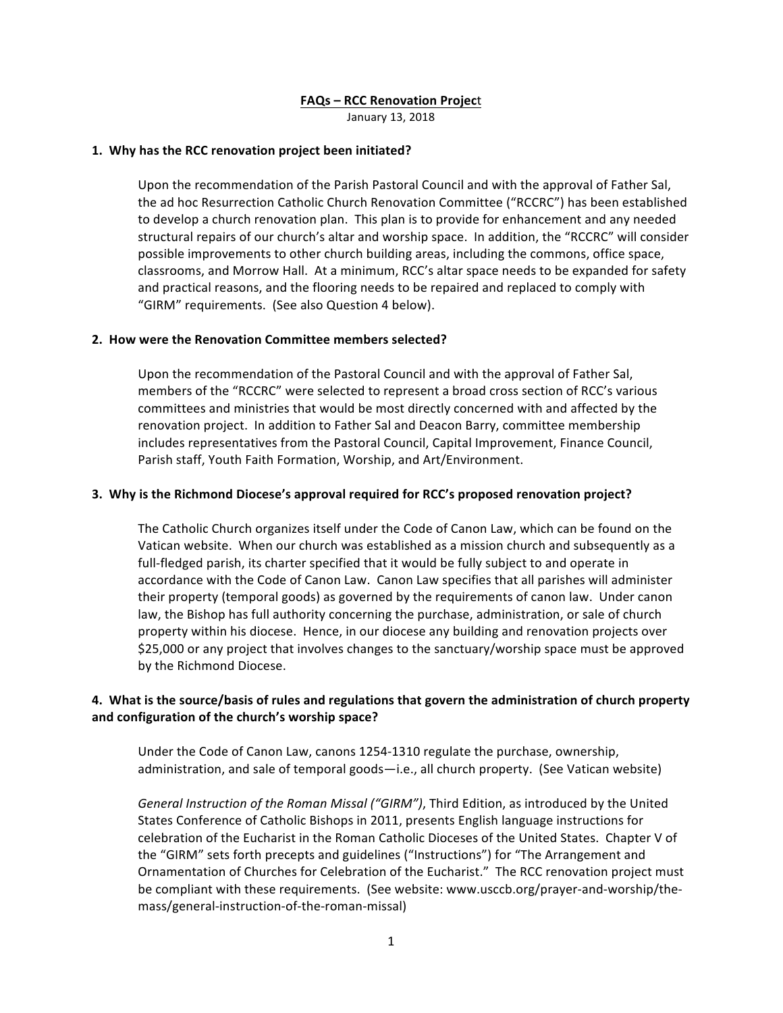## **FAQs – RCC Renovation Projec**t

January 13, 2018

#### **1. Why has the RCC renovation project been initiated?**

Upon the recommendation of the Parish Pastoral Council and with the approval of Father Sal, the ad hoc Resurrection Catholic Church Renovation Committee ("RCCRC") has been established to develop a church renovation plan. This plan is to provide for enhancement and any needed structural repairs of our church's altar and worship space. In addition, the "RCCRC" will consider possible improvements to other church building areas, including the commons, office space, classrooms, and Morrow Hall. At a minimum, RCC's altar space needs to be expanded for safety and practical reasons, and the flooring needs to be repaired and replaced to comply with "GIRM" requirements. (See also Question 4 below).

#### **2. How were the Renovation Committee members selected?**

Upon the recommendation of the Pastoral Council and with the approval of Father Sal, members of the "RCCRC" were selected to represent a broad cross section of RCC's various committees and ministries that would be most directly concerned with and affected by the renovation project. In addition to Father Sal and Deacon Barry, committee membership includes representatives from the Pastoral Council, Capital Improvement, Finance Council, Parish staff, Youth Faith Formation, Worship, and Art/Environment.

## **3.** Why is the Richmond Diocese's approval required for RCC's proposed renovation project?

The Catholic Church organizes itself under the Code of Canon Law, which can be found on the Vatican website. When our church was established as a mission church and subsequently as a full-fledged parish, its charter specified that it would be fully subject to and operate in accordance with the Code of Canon Law. Canon Law specifies that all parishes will administer their property (temporal goods) as governed by the requirements of canon law. Under canon law, the Bishop has full authority concerning the purchase, administration, or sale of church property within his diocese. Hence, in our diocese any building and renovation projects over \$25,000 or any project that involves changes to the sanctuary/worship space must be approved by the Richmond Diocese.

# 4. What is the source/basis of rules and regulations that govern the administration of church property and configuration of the church's worship space?

Under the Code of Canon Law, canons 1254-1310 regulate the purchase, ownership, administration, and sale of temporal goods—i.e., all church property. (See Vatican website)

General Instruction of the Roman Missal ("GIRM"), Third Edition, as introduced by the United States Conference of Catholic Bishops in 2011, presents English language instructions for celebration of the Eucharist in the Roman Catholic Dioceses of the United States. Chapter V of the "GIRM" sets forth precepts and guidelines ("Instructions") for "The Arrangement and Ornamentation of Churches for Celebration of the Eucharist." The RCC renovation project must be compliant with these requirements. (See website: www.usccb.org/prayer-and-worship/themass/general-instruction-of-the-roman-missal)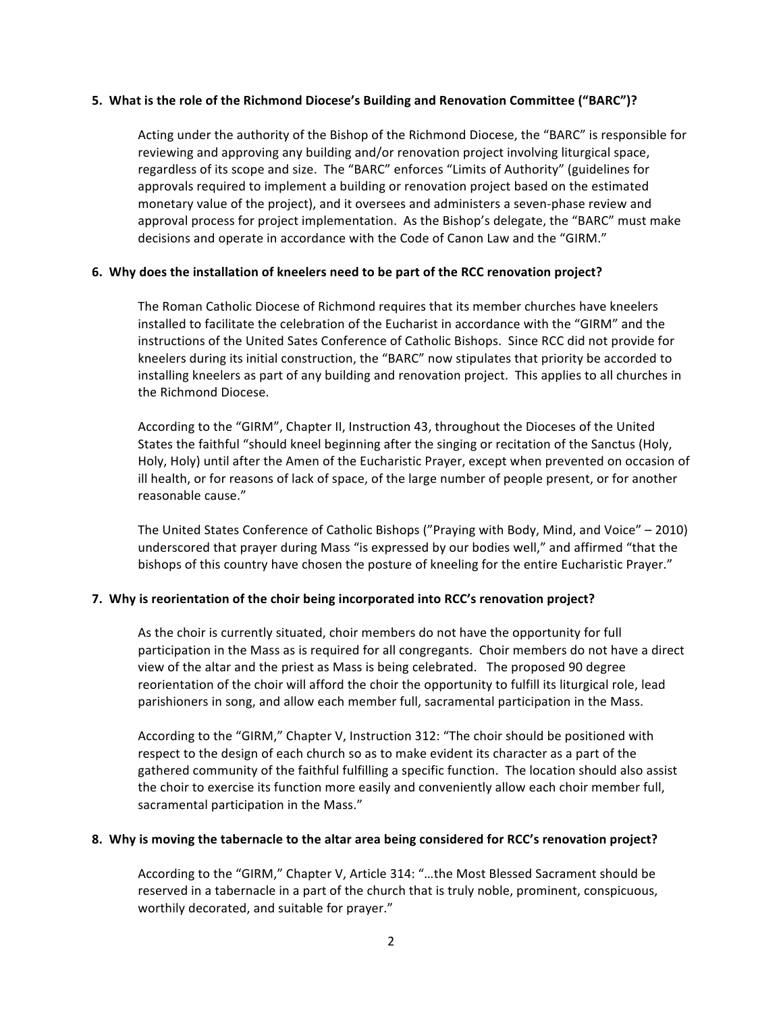#### **5.** What is the role of the Richmond Diocese's Building and Renovation Committee ("BARC")?

Acting under the authority of the Bishop of the Richmond Diocese, the "BARC" is responsible for reviewing and approving any building and/or renovation project involving liturgical space, regardless of its scope and size. The "BARC" enforces "Limits of Authority" (guidelines for approvals required to implement a building or renovation project based on the estimated monetary value of the project), and it oversees and administers a seven-phase review and approval process for project implementation. As the Bishop's delegate, the "BARC" must make decisions and operate in accordance with the Code of Canon Law and the "GIRM."

## **6.** Why does the installation of kneelers need to be part of the RCC renovation project?

The Roman Catholic Diocese of Richmond requires that its member churches have kneelers installed to facilitate the celebration of the Eucharist in accordance with the "GIRM" and the instructions of the United Sates Conference of Catholic Bishops. Since RCC did not provide for kneelers during its initial construction, the "BARC" now stipulates that priority be accorded to installing kneelers as part of any building and renovation project. This applies to all churches in the Richmond Diocese.

According to the "GIRM", Chapter II, Instruction 43, throughout the Dioceses of the United States the faithful "should kneel beginning after the singing or recitation of the Sanctus (Holy, Holy, Holy) until after the Amen of the Eucharistic Prayer, except when prevented on occasion of ill health, or for reasons of lack of space, of the large number of people present, or for another reasonable cause."

The United States Conference of Catholic Bishops ("Praying with Body, Mind, and Voice" – 2010) underscored that prayer during Mass "is expressed by our bodies well," and affirmed "that the bishops of this country have chosen the posture of kneeling for the entire Eucharistic Prayer."

## **7.** Why is reorientation of the choir being incorporated into RCC's renovation project?

As the choir is currently situated, choir members do not have the opportunity for full participation in the Mass as is required for all congregants. Choir members do not have a direct view of the altar and the priest as Mass is being celebrated. The proposed 90 degree reorientation of the choir will afford the choir the opportunity to fulfill its liturgical role, lead parishioners in song, and allow each member full, sacramental participation in the Mass.

According to the "GIRM," Chapter V, Instruction 312: "The choir should be positioned with respect to the design of each church so as to make evident its character as a part of the gathered community of the faithful fulfilling a specific function. The location should also assist the choir to exercise its function more easily and conveniently allow each choir member full, sacramental participation in the Mass."

#### **8.** Why is moving the tabernacle to the altar area being considered for RCC's renovation project?

According to the "GIRM," Chapter V, Article 314: "...the Most Blessed Sacrament should be reserved in a tabernacle in a part of the church that is truly noble, prominent, conspicuous, worthily decorated, and suitable for prayer."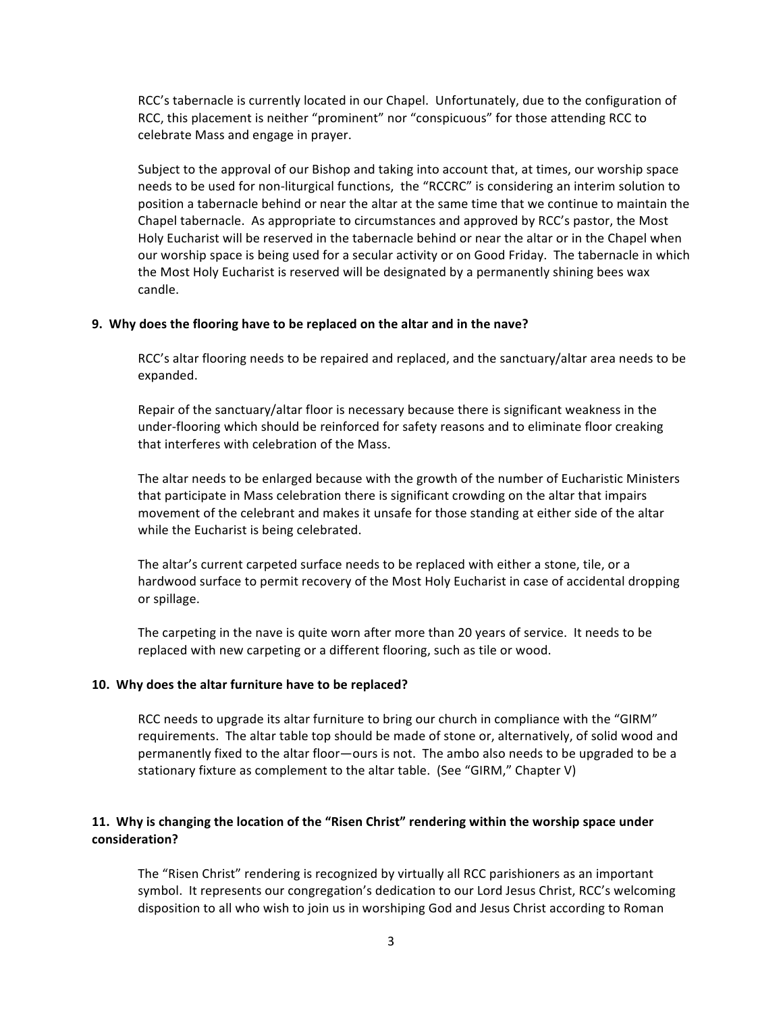RCC's tabernacle is currently located in our Chapel. Unfortunately, due to the configuration of RCC, this placement is neither "prominent" nor "conspicuous" for those attending RCC to celebrate Mass and engage in prayer.

Subject to the approval of our Bishop and taking into account that, at times, our worship space needs to be used for non-liturgical functions, the "RCCRC" is considering an interim solution to position a tabernacle behind or near the altar at the same time that we continue to maintain the Chapel tabernacle. As appropriate to circumstances and approved by RCC's pastor, the Most Holy Eucharist will be reserved in the tabernacle behind or near the altar or in the Chapel when our worship space is being used for a secular activity or on Good Friday. The tabernacle in which the Most Holy Eucharist is reserved will be designated by a permanently shining bees wax candle.

#### **9.** Why does the flooring have to be replaced on the altar and in the nave?

RCC's altar flooring needs to be repaired and replaced, and the sanctuary/altar area needs to be expanded. 

Repair of the sanctuary/altar floor is necessary because there is significant weakness in the under-flooring which should be reinforced for safety reasons and to eliminate floor creaking that interferes with celebration of the Mass.

The altar needs to be enlarged because with the growth of the number of Eucharistic Ministers that participate in Mass celebration there is significant crowding on the altar that impairs movement of the celebrant and makes it unsafe for those standing at either side of the altar while the Eucharist is being celebrated.

The altar's current carpeted surface needs to be replaced with either a stone, tile, or a hardwood surface to permit recovery of the Most Holy Eucharist in case of accidental dropping or spillage.

The carpeting in the nave is quite worn after more than 20 years of service. It needs to be replaced with new carpeting or a different flooring, such as tile or wood.

#### **10.** Why does the altar furniture have to be replaced?

RCC needs to upgrade its altar furniture to bring our church in compliance with the "GIRM" requirements. The altar table top should be made of stone or, alternatively, of solid wood and permanently fixed to the altar floor—ours is not. The ambo also needs to be upgraded to be a stationary fixture as complement to the altar table. (See "GIRM," Chapter V)

## **11.** Why is changing the location of the "Risen Christ" rendering within the worship space under **consideration?**

The "Risen Christ" rendering is recognized by virtually all RCC parishioners as an important symbol. It represents our congregation's dedication to our Lord Jesus Christ, RCC's welcoming disposition to all who wish to join us in worshiping God and Jesus Christ according to Roman